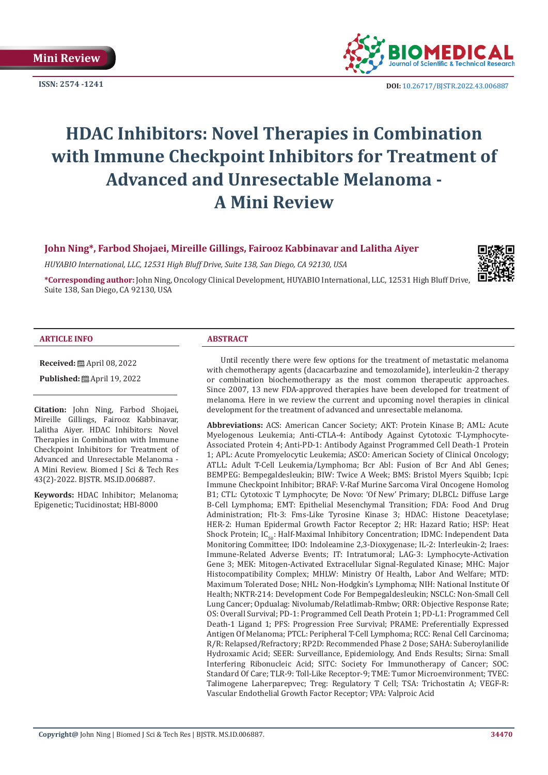

**ISSN:** 2574 -1241 **DOI:** [10.26717/BJSTR.2022.43.006887](https://dx.doi.org/10.26717/BJSTR.2022.43.006887)

# **HDAC Inhibitors: Novel Therapies in Combination with Immune Checkpoint Inhibitors for Treatment of Advanced and Unresectable Melanoma - A Mini Review**

**John Ning\*, Farbod Shojaei, Mireille Gillings, Fairooz Kabbinavar and Lalitha Aiyer**

*HUYABIO International, LLC, 12531 High Bluff Drive, Suite 138, San Diego, CA 92130, USA*

**\*Corresponding author:** John Ning, Oncology Clinical Development, HUYABIO International, LLC, 12531 High Bluff Drive, Suite 138, San Diego, CA 92130, USA

#### **ARTICLE INFO ABSTRACT**

**Received:** April 08, 2022

**Published:** ■ April 19, 2022

**Citation:** John Ning, Farbod Shojaei, Mireille Gillings, Fairooz Kabbinavar, Lalitha Aiyer. HDAC Inhibitors: Novel Therapies in Combination with Immune Checkpoint Inhibitors for Treatment of Advanced and Unresectable Melanoma - A Mini Review. Biomed J Sci & Tech Res 43(2)-2022. BJSTR. MS.ID.006887.

**Keywords:** HDAC Inhibitor; Melanoma; Epigenetic; Tucidinostat; HBI-8000

Until recently there were few options for the treatment of metastatic melanoma with chemotherapy agents (dacacarbazine and temozolamide), interleukin-2 therapy or combination biochemotherapy as the most common therapeutic approaches. Since 2007, 13 new FDA-approved therapies have been developed for treatment of melanoma. Here in we review the current and upcoming novel therapies in clinical development for the treatment of advanced and unresectable melanoma.

**Abbreviations:** ACS: American Cancer Society; AKT: Protein Kinase B; AML: Acute Myelogenous Leukemia; Anti-CTLA-4: Antibody Against Cytotoxic T-Lymphocyte-Associated Protein 4; Anti-PD-1: Antibody Against Programmed Cell Death-1 Protein 1; APL: Acute Promyelocytic Leukemia; ASCO: American Society of Clinical Oncology; ATLL: Adult T-Cell Leukemia/Lymphoma; Bcr Abl: Fusion of Bcr And Abl Genes; BEMPEG: Bempegaldesleukin; BIW: Twice A Week; BMS: Bristol Myers Squibb; Icpi: Immune Checkpoint Inhibitor; BRAF: V-Raf Murine Sarcoma Viral Oncogene Homolog B1; CTL: Cytotoxic T Lymphocyte; De Novo: 'Of New' Primary; DLBCL: Diffuse Large B-Cell Lymphoma; EMT: Epithelial Mesenchymal Transition; FDA: Food And Drug Administration; Flt-3: Fms-Like Tyrosine Kinase 3; HDAC: Histone Deacetylase; HER-2: Human Epidermal Growth Factor Receptor 2; HR: Hazard Ratio; HSP: Heat Shock Protein; IC<sub>50</sub>: Half-Maximal Inhibitory Concentration; IDMC: Independent Data Monitoring Committee; IDO: Indoleamine 2,3-Dioxygenase; IL-2: Interleukin-2; Iraes: Immune-Related Adverse Events; IT: Intratumoral; LAG-3: Lymphocyte-Activation Gene 3; MEK: Mitogen-Activated Extracellular Signal-Regulated Kinase; MHC: Major Histocompatibility Complex; MHLW: Ministry Of Health, Labor And Welfare; MTD: Maximum Tolerated Dose; NHL: Non-Hodgkin's Lymphoma; NIH: National Institute Of Health; NKTR-214: Development Code For Bempegaldesleukin; NSCLC: Non-Small Cell Lung Cancer; Opdualag: Nivolumab/Relatlimab-Rmbw; ORR: Objective Response Rate; OS: Overall Survival; PD-1: Programmed Cell Death Protein 1; PD-L1: Programmed Cell Death-1 Ligand 1; PFS: Progression Free Survival; PRAME: Preferentially Expressed Antigen Of Melanoma; PTCL: Peripheral T-Cell Lymphoma; RCC: Renal Cell Carcinoma; R/R: Relapsed/Refractory; RP2D: Recommended Phase 2 Dose; SAHA: Suberoylanilide Hydroxamic Acid; SEER: Surveillance, Epidemiology, And Ends Results; Sirna: Small Interfering Ribonucleic Acid; SITC: Society For Immunotherapy of Cancer; SOC: Standard Of Care; TLR-9: Toll-Like Receptor-9; TME: Tumor Microenvironment; TVEC: Talimogene Laherparepvec; Treg: Regulatory T Cell; TSA: Trichostatin A; VEGF-R: Vascular Endothelial Growth Factor Receptor; VPA: Valproic Acid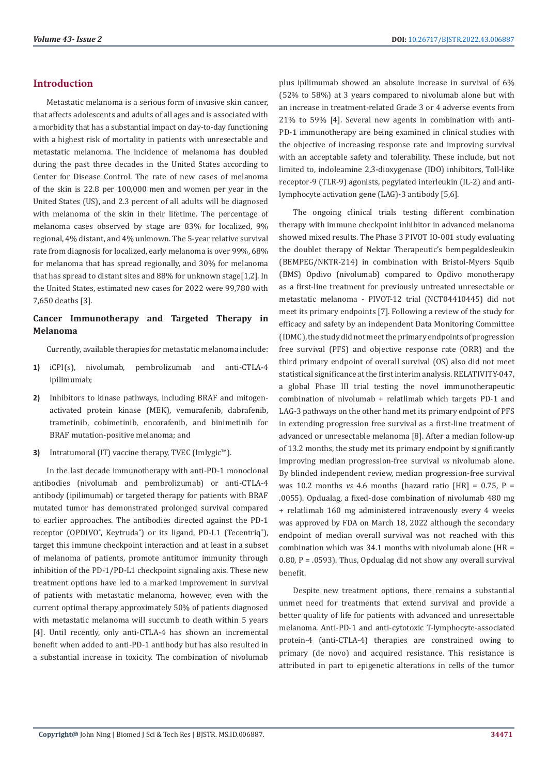# **Introduction**

Metastatic melanoma is a serious form of invasive skin cancer, that affects adolescents and adults of all ages and is associated with a morbidity that has a substantial impact on day-to-day functioning with a highest risk of mortality in patients with unresectable and metastatic melanoma. The incidence of melanoma has doubled during the past three decades in the United States according to Center for Disease Control. The rate of new cases of melanoma of the skin is 22.8 per 100,000 men and women per year in the United States (US), and 2.3 percent of all adults will be diagnosed with melanoma of the skin in their lifetime. The percentage of melanoma cases observed by stage are 83% for localized, 9% regional, 4% distant, and 4% unknown. The 5-year relative survival rate from diagnosis for localized, early melanoma is over 99%, 68% for melanoma that has spread regionally, and 30% for melanoma that has spread to distant sites and 88% for unknown stage[1,2]. In the United States, estimated new cases for 2022 were 99,780 with 7,650 deaths [3].

# **Cancer Immunotherapy and Targeted Therapy in Melanoma**

Currently, available therapies for metastatic melanoma include:

- **1)** iCPI(s), nivolumab, pembrolizumab and anti-CTLA-4 ipilimumab;
- **2)** Inhibitors to kinase pathways, including BRAF and mitogenactivated protein kinase (MEK), vemurafenib, dabrafenib, trametinib, cobimetinib, encorafenib, and binimetinib for BRAF mutation-positive melanoma; and
- **3)** Intratumoral (IT) vaccine therapy, TVEC (Imlygic™).

In the last decade immunotherapy with anti-PD-1 monoclonal antibodies (nivolumab and pembrolizumab) or anti-CTLA-4 antibody (ipilimumab) or targeted therapy for patients with BRAF mutated tumor has demonstrated prolonged survival compared to earlier approaches. The antibodies directed against the PD-1 receptor (OPDIVO<sup>®</sup>, Keytruda®) or its ligand, PD-L1 (Tecentriq®), target this immune checkpoint interaction and at least in a subset of melanoma of patients, promote antitumor immunity through inhibition of the PD-1/PD-L1 checkpoint signaling axis. These new treatment options have led to a marked improvement in survival of patients with metastatic melanoma, however, even with the current optimal therapy approximately 50% of patients diagnosed with metastatic melanoma will succumb to death within 5 years [4]. Until recently, only anti-CTLA-4 has shown an incremental benefit when added to anti-PD-1 antibody but has also resulted in a substantial increase in toxicity. The combination of nivolumab

plus ipilimumab showed an absolute increase in survival of 6% (52% to 58%) at 3 years compared to nivolumab alone but with an increase in treatment-related Grade 3 or 4 adverse events from 21% to 59% [4]. Several new agents in combination with anti-PD-1 immunotherapy are being examined in clinical studies with the objective of increasing response rate and improving survival with an acceptable safety and tolerability. These include, but not limited to, indoleamine 2,3-dioxygenase (IDO) inhibitors, Toll-like receptor-9 (TLR-9) agonists, pegylated interleukin (IL-2) and antilymphocyte activation gene (LAG)-3 antibody [5,6].

The ongoing clinical trials testing different combination therapy with immune checkpoint inhibitor in advanced melanoma showed mixed results. The Phase 3 PIVOT IO-001 study evaluating the doublet therapy of Nektar Therapeutic's bempegaldesleukin (BEMPEG/NKTR-214) in combination with Bristol-Myers Squib (BMS) Opdivo (nivolumab) compared to Opdivo monotherapy as a first-line treatment for previously untreated unresectable or metastatic melanoma - PIVOT-12 trial (NCT04410445) did not meet its primary endpoints [7]. Following a review of the study for efficacy and safety by an independent Data Monitoring Committee (IDMC), the study did not meet the primary endpoints of progression free survival (PFS) and objective response rate (ORR) and the third primary endpoint of overall survival (OS) also did not meet statistical significance at the first interim analysis. RELATIVITY-047, a global Phase III trial testing the novel immunotherapeutic combination of nivolumab + relatlimab which targets PD-1 and LAG-3 pathways on the other hand met its primary endpoint of PFS in extending progression free survival as a first-line treatment of advanced or unresectable melanoma [8]. After a median follow-up of 13.2 months, the study met its primary endpoint by significantly improving median progression-free survival *vs* nivolumab alone. By blinded independent review, median progression-free survival was 10.2 months *vs* 4.6 months (hazard ratio [HR] = 0.75, P = .0055). Opdualag, a fixed-dose combination of nivolumab 480 mg + relatlimab 160 mg administered intravenously every 4 weeks was approved by FDA on March 18, 2022 although the secondary endpoint of median overall survival was not reached with this combination which was  $34.1$  months with nivolumab alone (HR = 0.80,  $P = .0593$ ). Thus, Opdualag did not show any overall survival benefit.

Despite new treatment options, there remains a substantial unmet need for treatments that extend survival and provide a better quality of life for patients with advanced and unresectable melanoma. Anti-PD-1 and anti-cytotoxic T-lymphocyte-associated protein-4 (anti-CTLA-4) therapies are constrained owing to primary (de novo) and acquired resistance. This resistance is attributed in part to epigenetic alterations in cells of the tumor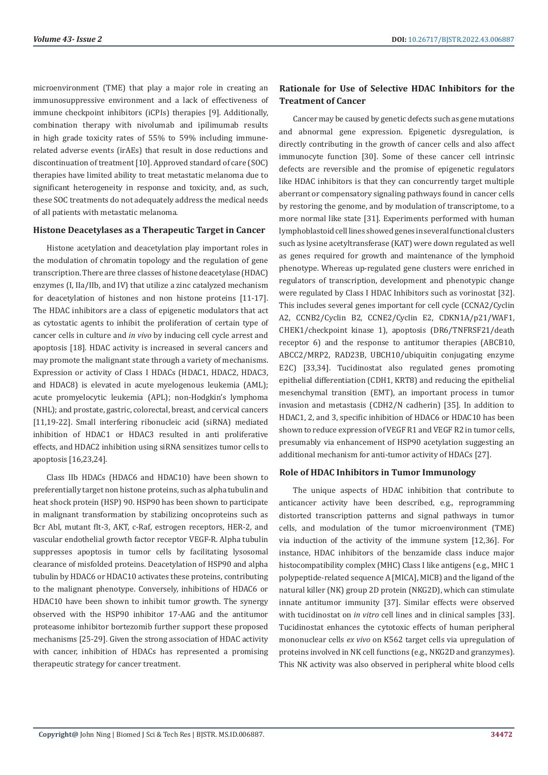microenvironment (TME) that play a major role in creating an immunosuppressive environment and a lack of effectiveness of immune checkpoint inhibitors (iCPIs) therapies [9]. Additionally, combination therapy with nivolumab and ipilimumab results in high grade toxicity rates of 55% to 59% including immunerelated adverse events (irAEs) that result in dose reductions and discontinuation of treatment [10]. Approved standard of care (SOC) therapies have limited ability to treat metastatic melanoma due to significant heterogeneity in response and toxicity, and, as such, these SOC treatments do not adequately address the medical needs of all patients with metastatic melanoma.

#### **Histone Deacetylases as a Therapeutic Target in Cancer**

Histone acetylation and deacetylation play important roles in the modulation of chromatin topology and the regulation of gene transcription. There are three classes of histone deacetylase (HDAC) enzymes (I, IIa/IIb, and IV) that utilize a zinc catalyzed mechanism for deacetylation of histones and non histone proteins [11-17]. The HDAC inhibitors are a class of epigenetic modulators that act as cytostatic agents to inhibit the proliferation of certain type of cancer cells in culture and *in vivo* by inducing cell cycle arrest and apoptosis [18]. HDAC activity is increased in several cancers and may promote the malignant state through a variety of mechanisms. Expression or activity of Class I HDACs (HDAC1, HDAC2, HDAC3, and HDAC8) is elevated in acute myelogenous leukemia (AML); acute promyelocytic leukemia (APL); non-Hodgkin's lymphoma (NHL); and prostate, gastric, colorectal, breast, and cervical cancers [11,19-22]. Small interfering ribonucleic acid (siRNA) mediated inhibition of HDAC1 or HDAC3 resulted in anti proliferative effects, and HDAC2 inhibition using siRNA sensitizes tumor cells to apoptosis [16,23,24].

Class IIb HDACs (HDAC6 and HDAC10) have been shown to preferentially target non histone proteins, such as alpha tubulin and heat shock protein (HSP) 90. HSP90 has been shown to participate in malignant transformation by stabilizing oncoproteins such as Bcr Abl, mutant flt-3, AKT, c-Raf, estrogen receptors, HER-2, and vascular endothelial growth factor receptor VEGF-R. Alpha tubulin suppresses apoptosis in tumor cells by facilitating lysosomal clearance of misfolded proteins. Deacetylation of HSP90 and alpha tubulin by HDAC6 or HDAC10 activates these proteins, contributing to the malignant phenotype. Conversely, inhibitions of HDAC6 or HDAC10 have been shown to inhibit tumor growth. The synergy observed with the HSP90 inhibitor 17-AAG and the antitumor proteasome inhibitor bortezomib further support these proposed mechanisms [25-29]. Given the strong association of HDAC activity with cancer, inhibition of HDACs has represented a promising therapeutic strategy for cancer treatment.

# **Rationale for Use of Selective HDAC Inhibitors for the Treatment of Cancer**

Cancer may be caused by genetic defects such as gene mutations and abnormal gene expression. Epigenetic dysregulation, is directly contributing in the growth of cancer cells and also affect immunocyte function [30]. Some of these cancer cell intrinsic defects are reversible and the promise of epigenetic regulators like HDAC inhibitors is that they can concurrently target multiple aberrant or compensatory signaling pathways found in cancer cells by restoring the genome, and by modulation of transcriptome, to a more normal like state [31]. Experiments performed with human lymphoblastoid cell lines showed genes in several functional clusters such as lysine acetyltransferase (KAT) were down regulated as well as genes required for growth and maintenance of the lymphoid phenotype. Whereas up-regulated gene clusters were enriched in regulators of transcription, development and phenotypic change were regulated by Class I HDAC Inhibitors such as vorinostat [32]. This includes several genes important for cell cycle (CCNA2/Cyclin A2, CCNB2/Cyclin B2, CCNE2/Cyclin E2, CDKN1A/p21/WAF1, CHEK1/checkpoint kinase 1), apoptosis (DR6/TNFRSF21/death receptor 6) and the response to antitumor therapies (ABCB10, ABCC2/MRP2, RAD23B, UBCH10/ubiquitin conjugating enzyme E2C) [33,34]. Tucidinostat also regulated genes promoting epithelial differentiation (CDH1, KRT8) and reducing the epithelial mesenchymal transition (EMT), an important process in tumor invasion and metastasis (CDH2/N cadherin) [35]. In addition to HDAC1, 2, and 3, specific inhibition of HDAC6 or HDAC10 has been shown to reduce expression of VEGF R1 and VEGF R2 in tumor cells, presumably via enhancement of HSP90 acetylation suggesting an additional mechanism for anti-tumor activity of HDACs [27].

#### **Role of HDAC Inhibitors in Tumor Immunology**

The unique aspects of HDAC inhibition that contribute to anticancer activity have been described, e.g., reprogramming distorted transcription patterns and signal pathways in tumor cells, and modulation of the tumor microenvironment (TME) via induction of the activity of the immune system [12,36]. For instance, HDAC inhibitors of the benzamide class induce major histocompatibility complex (MHC) Class I like antigens (e.g., MHC 1 polypeptide-related sequence A [MICA], MICB) and the ligand of the natural killer (NK) group 2D protein (NKG2D), which can stimulate innate antitumor immunity [37]. Similar effects were observed with tucidinostat on *in vitro* cell lines and in clinical samples [33]. Tucidinostat enhances the cytotoxic effects of human peripheral mononuclear cells *ex vivo* on K562 target cells via upregulation of proteins involved in NK cell functions (e.g., NKG2D and granzymes). This NK activity was also observed in peripheral white blood cells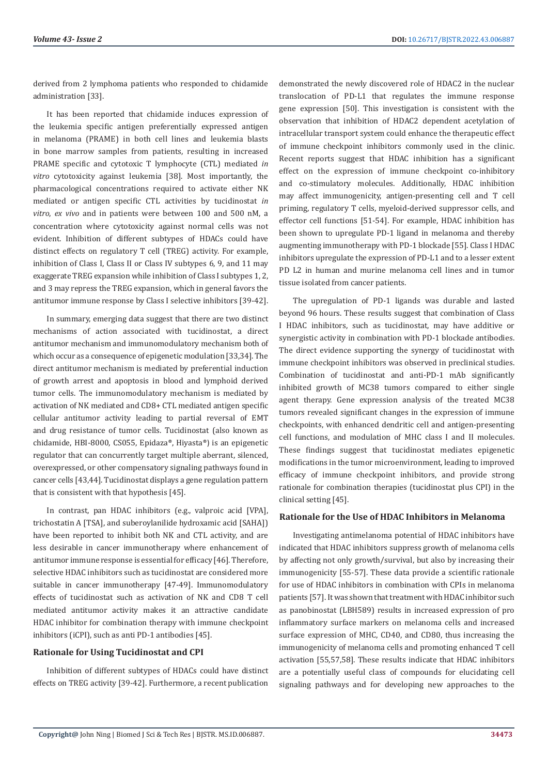derived from 2 lymphoma patients who responded to chidamide administration [33].

It has been reported that chidamide induces expression of the leukemia specific antigen preferentially expressed antigen in melanoma (PRAME) in both cell lines and leukemia blasts in bone marrow samples from patients, resulting in increased PRAME specific and cytotoxic T lymphocyte (CTL) mediated *in vitro* cytotoxicity against leukemia [38]. Most importantly, the pharmacological concentrations required to activate either NK mediated or antigen specific CTL activities by tucidinostat *in vitro*, *ex vivo* and in patients were between 100 and 500 nM, a concentration where cytotoxicity against normal cells was not evident. Inhibition of different subtypes of HDACs could have distinct effects on regulatory T cell (TREG) activity. For example, inhibition of Class I, Class II or Class IV subtypes 6, 9, and 11 may exaggerate TREG expansion while inhibition of Class I subtypes 1, 2, and 3 may repress the TREG expansion, which in general favors the antitumor immune response by Class I selective inhibitors [39-42].

In summary, emerging data suggest that there are two distinct mechanisms of action associated with tucidinostat, a direct antitumor mechanism and immunomodulatory mechanism both of which occur as a consequence of epigenetic modulation [33,34]. The direct antitumor mechanism is mediated by preferential induction of growth arrest and apoptosis in blood and lymphoid derived tumor cells. The immunomodulatory mechanism is mediated by activation of NK mediated and CD8+ CTL mediated antigen specific cellular antitumor activity leading to partial reversal of EMT and drug resistance of tumor cells. Tucidinostat (also known as chidamide, HBI-8000, CS055, Epidaza®, Hiyasta®) is an epigenetic regulator that can concurrently target multiple aberrant, silenced, overexpressed, or other compensatory signaling pathways found in cancer cells [43,44]. Tucidinostat displays a gene regulation pattern that is consistent with that hypothesis [45].

In contrast, pan HDAC inhibitors (e.g., valproic acid [VPA], trichostatin A [TSA], and suberoylanilide hydroxamic acid [SAHA]) have been reported to inhibit both NK and CTL activity, and are less desirable in cancer immunotherapy where enhancement of antitumor immune response is essential for efficacy [46]. Therefore, selective HDAC inhibitors such as tucidinostat are considered more suitable in cancer immunotherapy [47-49]. Immunomodulatory effects of tucidinostat such as activation of NK and CD8 T cell mediated antitumor activity makes it an attractive candidate HDAC inhibitor for combination therapy with immune checkpoint inhibitors (iCPI), such as anti PD-1 antibodies [45].

# **Rationale for Using Tucidinostat and CPI**

Inhibition of different subtypes of HDACs could have distinct effects on TREG activity [39-42]. Furthermore, a recent publication

demonstrated the newly discovered role of HDAC2 in the nuclear translocation of PD-L1 that regulates the immune response gene expression [50]. This investigation is consistent with the observation that inhibition of HDAC2 dependent acetylation of intracellular transport system could enhance the therapeutic effect of immune checkpoint inhibitors commonly used in the clinic. Recent reports suggest that HDAC inhibition has a significant effect on the expression of immune checkpoint co-inhibitory and co-stimulatory molecules. Additionally, HDAC inhibition may affect immunogenicity, antigen-presenting cell and T cell priming, regulatory T cells, myeloid-derived suppressor cells, and effector cell functions [51-54]. For example, HDAC inhibition has been shown to upregulate PD-1 ligand in melanoma and thereby augmenting immunotherapy with PD-1 blockade [55]. Class I HDAC inhibitors upregulate the expression of PD-L1 and to a lesser extent PD L2 in human and murine melanoma cell lines and in tumor tissue isolated from cancer patients.

The upregulation of PD-1 ligands was durable and lasted beyond 96 hours. These results suggest that combination of Class I HDAC inhibitors, such as tucidinostat, may have additive or synergistic activity in combination with PD-1 blockade antibodies. The direct evidence supporting the synergy of tucidinostat with immune checkpoint inhibitors was observed in preclinical studies. Combination of tucidinostat and anti-PD-1 mAb significantly inhibited growth of MC38 tumors compared to either single agent therapy. Gene expression analysis of the treated MC38 tumors revealed significant changes in the expression of immune checkpoints, with enhanced dendritic cell and antigen-presenting cell functions, and modulation of MHC class I and II molecules. These findings suggest that tucidinostat mediates epigenetic modifications in the tumor microenvironment, leading to improved efficacy of immune checkpoint inhibitors, and provide strong rationale for combination therapies (tucidinostat plus CPI) in the clinical setting [45].

# **Rationale for the Use of HDAC Inhibitors in Melanoma**

Investigating antimelanoma potential of HDAC inhibitors have indicated that HDAC inhibitors suppress growth of melanoma cells by affecting not only growth/survival, but also by increasing their immunogenicity [55-57]. These data provide a scientific rationale for use of HDAC inhibitors in combination with CPIs in melanoma patients [57]. It was shown that treatment with HDAC inhibitor such as panobinostat (LBH589) results in increased expression of pro inflammatory surface markers on melanoma cells and increased surface expression of MHC, CD40, and CD80, thus increasing the immunogenicity of melanoma cells and promoting enhanced T cell activation [55,57,58]. These results indicate that HDAC inhibitors are a potentially useful class of compounds for elucidating cell signaling pathways and for developing new approaches to the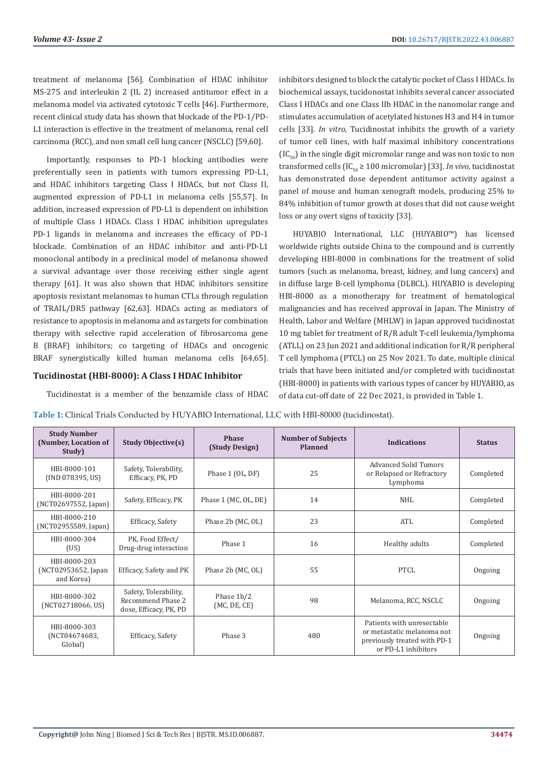treatment of melanoma [56]. Combination of HDAC inhibitor MS-275 and interleukin 2 (IL 2) increased antitumor effect in a melanoma model via activated cytotoxic T cells [46]. Furthermore, recent clinical study data has shown that blockade of the PD-1/PD-L1 interaction is effective in the treatment of melanoma, renal cell carcinoma (RCC), and non small cell lung cancer (NSCLC) [59,60].

Importantly, responses to PD-1 blocking antibodies were preferentially seen in patients with tumors expressing PD-L1, and HDAC inhibitors targeting Class I HDACs, but not Class II, augmented expression of PD-L1 in melanoma cells [55,57]. In addition, increased expression of PD-L1 is dependent on inhibition of multiple Class I HDACs. Class I HDAC inhibition upregulates PD-1 ligands in melanoma and increases the efficacy of PD-1 blockade. Combination of an HDAC inhibitor and anti-PD-L1 monoclonal antibody in a preclinical model of melanoma showed a survival advantage over those receiving either single agent therapy [61]. It was also shown that HDAC inhibitors sensitize apoptosis resistant melanomas to human CTLs through regulation of TRAIL/DR5 pathway [62,63]. HDACs acting as mediators of resistance to apoptosis in melanoma and as targets for combination therapy with selective rapid acceleration of fibrosarcoma gene B (BRAF) inhibitors; co targeting of HDACs and oncogenic BRAF synergistically killed human melanoma cells [64,65].

#### **Tucidinostat (HBI-8000): A Class I HDAC Inhibitor**

Tucidinostat is a member of the benzamide class of HDAC

inhibitors designed to block the catalytic pocket of Class I HDACs. In biochemical assays, tucidonostat inhibits several cancer associated Class I HDACs and one Class IIb HDAC in the nanomolar range and stimulates accumulation of acetylated histones H3 and H4 in tumor cells [33]. *In vitro*, Tucidinostat inhibits the growth of a variety of tumor cell lines, with half maximal inhibitory concentrations  $(IC_{\varepsilon_{0}})$  in the single digit micromolar range and was non toxic to non transformed cells  $[IC_{50} \ge 100$  micromolar) [33]. *In vivo*, tucidinostat has demonstrated dose dependent antitumor activity against a panel of mouse and human xenograft models, producing 25% to 84% inhibition of tumor growth at doses that did not cause weight loss or any overt signs of toxicity [33].

HUYABIO International, LLC (HUYABIO™) has licensed worldwide rights outside China to the compound and is currently developing HBI-8000 in combinations for the treatment of solid tumors (such as melanoma, breast, kidney, and lung cancers) and in diffuse large B-cell lymphoma (DLBCL). HUYABIO is developing HBI-8000 as a monotherapy for treatment of hematological malignancies and has received approval in Japan. The Ministry of Health, Labor and Welfare (MHLW) in Japan approved tucidinostat 10 mg tablet for treatment of R/R adult T-cell leukemia/lymphoma (ATLL) on 23 Jun 2021 and additional indication for R/R peripheral T cell lymphoma (PTCL) on 25 Nov 2021. To date, multiple clinical trials that have been initiated and/or completed with tucidinostat (HBI-8000) in patients with various types of cancer by HUYABIO, as of data cut-off date of 22 Dec 2021, is provided in Table 1.

**Table 1:** Clinical Trials Conducted by HUYABIO International, LLC with HBI-80000 (tucidinostat).

| <b>Study Number</b><br>(Number, Location of<br>Study) | <b>Study Objective(s)</b>                                            | <b>Phase</b><br>(Study Design) | <b>Number of Subjects</b><br>Planned | <b>Indications</b>                                                                                              | <b>Status</b> |
|-------------------------------------------------------|----------------------------------------------------------------------|--------------------------------|--------------------------------------|-----------------------------------------------------------------------------------------------------------------|---------------|
| HBI-8000-101<br>(IND 078395, US)                      | Safety, Tolerability,<br>Efficacy, PK, PD                            | Phase 1 (OL, DF)               | 25                                   | <b>Advanced Solid Tumors</b><br>or Relapsed or Refractory<br>Lymphoma                                           | Completed     |
| HBI-8000-201<br>(NCT02697552, Japan)                  | Safety, Efficacy, PK                                                 | Phase 1 (MC, OL, DE)           | 14                                   | NHL                                                                                                             | Completed     |
| HBI-8000-210<br>(NCT02955589, Japan)                  | Efficacy, Safety                                                     | Phase 2b (MC, OL)              | 23                                   | <b>ATL</b>                                                                                                      | Completed     |
| HBI-8000-304<br>(US)                                  | PK, Food Effect/<br>Drug-drug interaction                            | Phase 1                        | 16                                   | Healthy adults                                                                                                  | Completed     |
| HBI-8000-203<br>(NCT02953652, Japan)<br>and Korea)    | Efficacy, Safety and PK                                              | Phase 2b (MC, OL)              | 55                                   | PTCL                                                                                                            | Ongoing       |
| HBI-8000-302<br>(NCT02718066, US)                     | Safety, Tolerability,<br>Recommend Phase 2<br>dose, Efficacy, PK, PD | Phase 1b/2<br>(MC, DE, CE)     | 98                                   | Melanoma, RCC, NSCLC                                                                                            | Ongoing       |
| HBI-8000-303<br>(NCT04674683,<br>Global)              | Efficacy, Safety                                                     | Phase 3                        | 480                                  | Patients with unresectable<br>or metastatic melanoma not<br>previously treated with PD-1<br>or PD-L1 inhibitors | Ongoing       |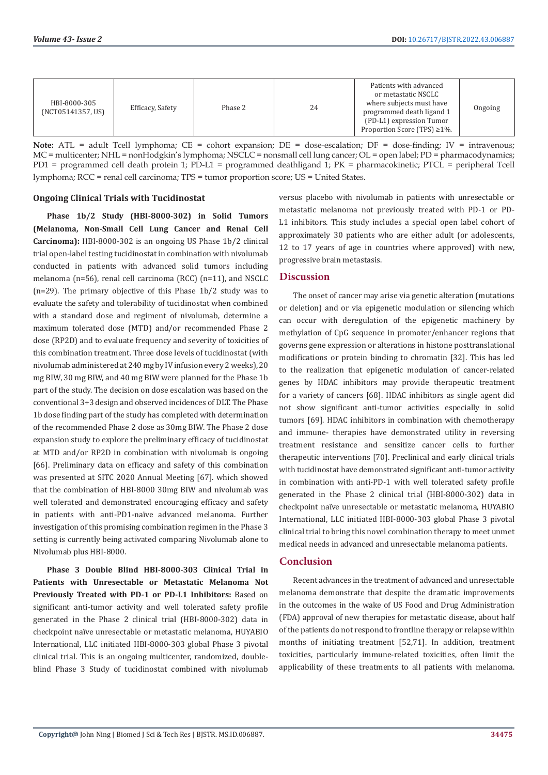| HBI-8000-305<br>Phase 2<br>Efficacy, Safety<br>(NCT05141357, US) | Patients with advanced<br>or metastatic NSCLC<br>where subjects must have<br>24<br>programmed death ligand 1<br>(PD-L1) expression Tumor<br>Proportion Score (TPS) $\geq 1\%$ . | Ongoing |
|------------------------------------------------------------------|---------------------------------------------------------------------------------------------------------------------------------------------------------------------------------|---------|
|------------------------------------------------------------------|---------------------------------------------------------------------------------------------------------------------------------------------------------------------------------|---------|

**Note:** ATL = adult Tcell lymphoma; CE = cohort expansion; DE = dose-escalation; DF = dose-finding; IV = intravenous; MC = multicenter; NHL = nonHodgkin's lymphoma; NSCLC = nonsmall cell lung cancer; OL = open label; PD = pharmacodynamics; PD1 = programmed cell death protein 1; PD-L1 = programmed deathligand 1; PK = pharmacokinetic; PTCL = peripheral Tcell lymphoma; RCC = renal cell carcinoma; TPS = tumor proportion score; US = United States.

#### **Ongoing Clinical Trials with Tucidinostat**

**Phase 1b/2 Study (HBI-8000-302) in Solid Tumors (Melanoma, Non-Small Cell Lung Cancer and Renal Cell Carcinoma):** HBI-8000-302 is an ongoing US Phase 1b/2 clinical trial open-label testing tucidinostat in combination with nivolumab conducted in patients with advanced solid tumors including melanoma (n=56), renal cell carcinoma (RCC) (n=11), and NSCLC (n=29). The primary objective of this Phase 1b/2 study was to evaluate the safety and tolerability of tucidinostat when combined with a standard dose and regiment of nivolumab, determine a maximum tolerated dose (MTD) and/or recommended Phase 2 dose (RP2D) and to evaluate frequency and severity of toxicities of this combination treatment. Three dose levels of tucidinostat (with nivolumab administered at 240 mg by IV infusion every 2 weeks), 20 mg BIW, 30 mg BIW, and 40 mg BIW were planned for the Phase 1b part of the study. The decision on dose escalation was based on the conventional 3+3 design and observed incidences of DLT. The Phase 1b dose finding part of the study has completed with determination of the recommended Phase 2 dose as 30mg BIW. The Phase 2 dose expansion study to explore the preliminary efficacy of tucidinostat at MTD and/or RP2D in combination with nivolumab is ongoing [66]. Preliminary data on efficacy and safety of this combination was presented at SITC 2020 Annual Meeting [67]. which showed that the combination of HBI-8000 30mg BIW and nivolumab was well tolerated and demonstrated encouraging efficacy and safety in patients with anti-PD1-naïve advanced melanoma. Further investigation of this promising combination regimen in the Phase 3 setting is currently being activated comparing Nivolumab alone to Nivolumab plus HBI-8000.

**Phase 3 Double Blind HBI-8000-303 Clinical Trial in Patients with Unresectable or Metastatic Melanoma Not Previously Treated with PD-1 or PD-L1 Inhibitors:** Based on significant anti-tumor activity and well tolerated safety profile generated in the Phase 2 clinical trial (HBI-8000-302) data in checkpoint naïve unresectable or metastatic melanoma, HUYABIO International, LLC initiated HBI-8000-303 global Phase 3 pivotal clinical trial. This is an ongoing multicenter, randomized, doubleblind Phase 3 Study of tucidinostat combined with nivolumab

versus placebo with nivolumab in patients with unresectable or metastatic melanoma not previously treated with PD-1 or PD-L1 inhibitors. This study includes a special open label cohort of approximately 30 patients who are either adult (or adolescents, 12 to 17 years of age in countries where approved) with new, progressive brain metastasis.

# **Discussion**

The onset of cancer may arise via genetic alteration (mutations or deletion) and or via epigenetic modulation or silencing which can occur with deregulation of the epigenetic machinery by methylation of CpG sequence in promoter/enhancer regions that governs gene expression or alterations in histone posttranslational modifications or protein binding to chromatin [32]. This has led to the realization that epigenetic modulation of cancer-related genes by HDAC inhibitors may provide therapeutic treatment for a variety of cancers [68]. HDAC inhibitors as single agent did not show significant anti-tumor activities especially in solid tumors [69]. HDAC inhibitors in combination with chemotherapy and immune- therapies have demonstrated utility in reversing treatment resistance and sensitize cancer cells to further therapeutic interventions [70]. Preclinical and early clinical trials with tucidinostat have demonstrated significant anti-tumor activity in combination with anti-PD-1 with well tolerated safety profile generated in the Phase 2 clinical trial (HBI-8000-302) data in checkpoint naïve unresectable or metastatic melanoma, HUYABIO International, LLC initiated HBI-8000-303 global Phase 3 pivotal clinical trial to bring this novel combination therapy to meet unmet medical needs in advanced and unresectable melanoma patients.

# **Conclusion**

Recent advances in the treatment of advanced and unresectable melanoma demonstrate that despite the dramatic improvements in the outcomes in the wake of US Food and Drug Administration (FDA) approval of new therapies for metastatic disease, about half of the patients do not respond to frontline therapy or relapse within months of initiating treatment [52,71]. In addition, treatment toxicities, particularly immune-related toxicities, often limit the applicability of these treatments to all patients with melanoma.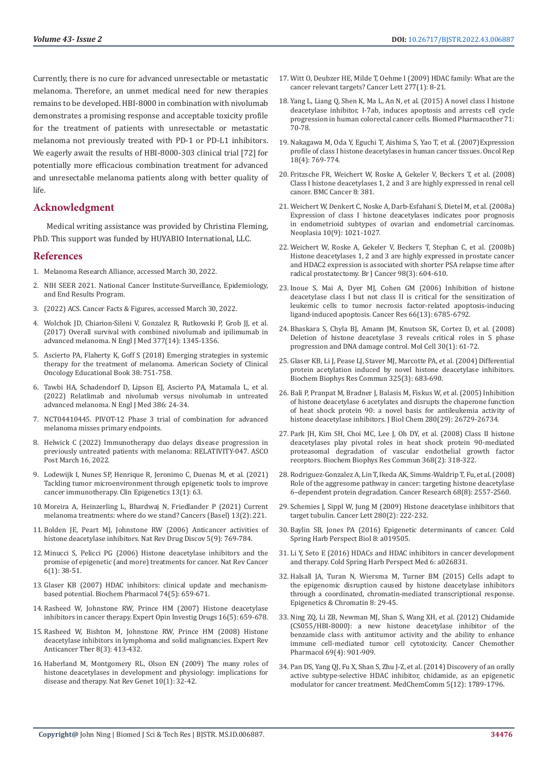Currently, there is no cure for advanced unresectable or metastatic melanoma. Therefore, an unmet medical need for new therapies remains to be developed. HBI-8000 in combination with nivolumab demonstrates a promising response and acceptable toxicity profile for the treatment of patients with unresectable or metastatic melanoma not previously treated with PD-1 or PD-L1 inhibitors. We eagerly await the results of HBI-8000-303 clinical trial [72] for potentially more efficacious combination treatment for advanced and unresectable melanoma patients along with better quality of life.

# **Acknowledgment**

Medical writing assistance was provided by Christina Fleming, PhD. This support was funded by HUYABIO International, LLC.

# **References**

- 1. Melanoma Research Alliance, accessed March 30, 2022.
- 2. [NIH SEER 2021. National Cancer Institute-Surveillance, Epidemiology,](https://seer.cancer.gov/statfacts/html/melan.html)  [and End Results Program](https://seer.cancer.gov/statfacts/html/melan.html).
- 3. [\(2022\) ACS. Cancer Facts & Figures, accessed March 30, 2022.](https://www.cancer.org/research/cancer-facts-statistics/all-cancer-facts-figures/cancer-facts-figures-2022.html)
- 4. Wolchok JD, Chiarion-Sileni V, Gonzalez R, Rutkowski P, Grob JJ, et al. [\(2017\) Overall survival with combined nivolumab and ipilimumab in](https://www.nejm.org/doi/full/10.1056/nejmoa1709684)  [advanced melanoma. N Engl J Med 377\(14\): 1345-1356.](https://www.nejm.org/doi/full/10.1056/nejmoa1709684)
- 5. [Ascierto PA, Flaherty K, Goff S \(2018\) Emerging strategies in systemic](https://ascopubs.org/doi/full/10.1200/EDBK_199047)  [therapy for the treatment of melanoma. American Society of Clinical](https://ascopubs.org/doi/full/10.1200/EDBK_199047)  [Oncology Educational Book 38: 751-758.](https://ascopubs.org/doi/full/10.1200/EDBK_199047)
- 6. [Tawbi HA, Schadendorf D, Lipson EJ, Ascierto PA, Matamala L, et al.](https://www.nejm.org/doi/full/10.1056/NEJMoa2109970)  [\(2022\) Relatlimab and nivolumab versus nivolumab in untreated](https://www.nejm.org/doi/full/10.1056/NEJMoa2109970)  [advanced melanoma. N Engl J Med 386: 24-34.](https://www.nejm.org/doi/full/10.1056/NEJMoa2109970)
- 7. NCT04410445. PIVOT-12 Phase 3 trial of combination for advanced melanoma misses primary endpoints.
- 8. Helwick C (2022) Immunotherapy duo delays disease progression in previously untreated patients with melanoma: RELATIVITY-047. ASCO Post March 16, 2022.
- 9. [Lodewijk I, Nunes SP, Henrique R, Jeronimo C, Duenas M, et al. \(2021\)](https://www.ncbi.nlm.nih.gov/pmc/articles/PMC7992805/)  [Tackling tumor microenvironment through epigenetic tools to improve](https://www.ncbi.nlm.nih.gov/pmc/articles/PMC7992805/)  [cancer immunotherapy. Clin Epigenetics 13\(1\): 63.](https://www.ncbi.nlm.nih.gov/pmc/articles/PMC7992805/)
- 10. [Moreira A, Heinzerling L, Bhardwaj N, Friedlander P \(2021\) Current](https://pubmed.ncbi.nlm.nih.gov/33435389/)  [melanoma treatments: where do we stand? Cancers \(Basel\) 13\(2\): 221.](https://pubmed.ncbi.nlm.nih.gov/33435389/)
- 11. [Bolden JE, Peart MJ, Johnstone RW \(2006\) Anticancer activities of](https://www.nature.com/articles/nrd2133)  [histone deacetylase inhibitors. Nat Rev Drug Discov 5\(9\): 769-784.](https://www.nature.com/articles/nrd2133)
- 12. [Minucci S, Pelicci PG \(2006\) Histone deacetylase inhibitors and the](https://pubmed.ncbi.nlm.nih.gov/16397526/)  [promise of epigenetic \(and more\) treatments for cancer. Nat Rev Cancer](https://pubmed.ncbi.nlm.nih.gov/16397526/)  [6\(1\): 38-51.](https://pubmed.ncbi.nlm.nih.gov/16397526/)
- 13. [Glaser KB \(2007\) HDAC inhibitors: clinical update and mechanism](https://pubmed.ncbi.nlm.nih.gov/17498667/)[based potential. Biochem Pharmacol 74\(5\): 659-671.](https://pubmed.ncbi.nlm.nih.gov/17498667/)
- 14. [Rasheed W, Johnstone RW, Prince HM \(2007\) Histone deacetylase](https://pubmed.ncbi.nlm.nih.gov/17461739/)  [inhibitors in cancer therapy. Expert Opin Investig Drugs 16\(5\): 659-678.](https://pubmed.ncbi.nlm.nih.gov/17461739/)
- 15. [Rasheed W, Bishton M, Johnstone RW, Prince HM \(2008\) Histone](https://pubmed.ncbi.nlm.nih.gov/18366289/)  [deacetylase inhibitors in lymphoma and solid malignancies. Expert Rev](https://pubmed.ncbi.nlm.nih.gov/18366289/)  [Anticancer Ther 8\(3\): 413-432.](https://pubmed.ncbi.nlm.nih.gov/18366289/)
- 16. [Haberland M, Montgomery RL, Olson EN \(2009\) The many roles of](https://www.nature.com/articles/nrg2485)  [histone deacetylases in development and physiology: implications for](https://www.nature.com/articles/nrg2485)  [disease and therapy. Nat Rev Genet 10\(1\): 32-42.](https://www.nature.com/articles/nrg2485)
- 17. Witt O, Deubzer HE, Milde T, Oehme I (2009) HDAC family: What are the cancer relevant targets? Cancer Lett 277(1): 8-21.
- 18. [Yang L, Liang Q, Shen K, Ma L, An N, et al. \(2015\) A novel class I histone](https://pubmed.ncbi.nlm.nih.gov/25960218/) [deacetylase inhibitor, I-7ab, induces apoptosis and arrests cell cycle](https://pubmed.ncbi.nlm.nih.gov/25960218/) [progression in human colorectal cancer cells. Biomed Pharmacother 71:](https://pubmed.ncbi.nlm.nih.gov/25960218/) [70-78.](https://pubmed.ncbi.nlm.nih.gov/25960218/)
- 19. Nakagawa M, Oda Y, Eguchi T, Aishima S, Yao T, et al. (2007)Expression profile of class I histone deacetylases in human cancer tissues. Oncol Rep 18(4): 769-774.
- 20. [Fritzsche FR, Weichert W, Roske A, Gekeler V, Beckers T, et al. \(2008\)](https://bmccancer.biomedcentral.com/articles/10.1186/1471-2407-8-381) [Class I histone deacetylases 1, 2 and 3 are highly expressed in renal cell](https://bmccancer.biomedcentral.com/articles/10.1186/1471-2407-8-381) [cancer. BMC Cancer 8: 381.](https://bmccancer.biomedcentral.com/articles/10.1186/1471-2407-8-381)
- 21. Weichert W, Denkert C, Noske A, Darb-Esfahani S, Dietel M, et al. (2008a) Expression of class I histone deacetylases indicates poor prognosis in endometrioid subtypes of ovarian and endometrial carcinomas. Neoplasia 10(9): 1021-1027.
- 22. Weichert W, Roske A, Gekeler V, Beckers T, Stephan C, et al. (2008b) Histone deacetylases 1, 2 and 3 are highly expressed in prostate cancer and HDAC2 expression is associated with shorter PSA relapse time after radical prostatectomy. Br J Cancer 98(3): 604-610.
- 23. [Inoue S, Mai A, Dyer MJ, Cohen GM \(2006\) Inhibition of histone](https://pubmed.ncbi.nlm.nih.gov/16818655/) [deacetylase class I but not class II is critical for the sensitization of](https://pubmed.ncbi.nlm.nih.gov/16818655/) [leukemic cells to tumor necrosis factor-related apoptosis-inducing](https://pubmed.ncbi.nlm.nih.gov/16818655/) [ligand-induced apoptosis. Cancer Res 66\(13\): 6785-6792.](https://pubmed.ncbi.nlm.nih.gov/16818655/)
- 24. [Bhaskara S, Chyla BJ, Amann JM, Knutson SK, Cortez D, et al. \(2008\)](https://pubmed.ncbi.nlm.nih.gov/18406327/) [Deletion of histone deacetylase 3 reveals critical roles in S phase](https://pubmed.ncbi.nlm.nih.gov/18406327/) [progression and DNA damage control. Mol Cell 30\(1\): 61-72.](https://pubmed.ncbi.nlm.nih.gov/18406327/)
- 25. [Glaser KB, Li J, Pease LJ, Staver MJ, Marcotte PA, et al. \(2004\) Differential](https://pubmed.ncbi.nlm.nih.gov/15541343/) [protein acetylation induced by novel histone deacetylase inhibitors.](https://pubmed.ncbi.nlm.nih.gov/15541343/) [Biochem Biophys Res Commun 325\(3\): 683-690.](https://pubmed.ncbi.nlm.nih.gov/15541343/)
- 26. [Bali P, Pranpat M, Bradner J, Balasis M, Fiskus W, et al. \(2005\) Inhibition](https://pubmed.ncbi.nlm.nih.gov/15937340/) [of histone deacetylase 6 acetylates and disrupts the chaperone function](https://pubmed.ncbi.nlm.nih.gov/15937340/) [of heat shock protein 90: a novel basis for antileukemia activity of](https://pubmed.ncbi.nlm.nih.gov/15937340/) [histone deacetylase inhibitors. J Biol Chem 280\(29\): 26729-26734.](https://pubmed.ncbi.nlm.nih.gov/15937340/)
- 27. [Park JH, Kim SH, Choi MC, Lee J, Oh DY, et al. \(2008\) Class II histone](https://pubmed.ncbi.nlm.nih.gov/18211808/) [deacetylases play pivotal roles in heat shock protein 90-mediated](https://pubmed.ncbi.nlm.nih.gov/18211808/) [proteasomal degradation of vascular endothelial growth factor](https://pubmed.ncbi.nlm.nih.gov/18211808/) [receptors. Biochem Biophys Res Commun 368\(2\): 318-322.](https://pubmed.ncbi.nlm.nih.gov/18211808/)
- 28. [Rodriguez-Gonzalez A, Lin T, Ikeda AK, Simms-Waldrip T, Fu, et al. \(2008\)](https://aacrjournals.org/cancerres/article/68/8/2557/543086/Role-of-the-Aggresome-Pathway-in-Cancer-Targeting) [Role of the aggresome pathway in cancer: targeting histone deacetylase](https://aacrjournals.org/cancerres/article/68/8/2557/543086/Role-of-the-Aggresome-Pathway-in-Cancer-Targeting) [6–dependent protein degradation. Cancer Research 68\(8\): 2557-2560.](https://aacrjournals.org/cancerres/article/68/8/2557/543086/Role-of-the-Aggresome-Pathway-in-Cancer-Targeting)
- 29. [Schemies J, Sippl W, Jung M \(2009\) Histone deacetylase inhibitors that](https://pubmed.ncbi.nlm.nih.gov/19268440/) [target tubulin. Cancer Lett 280\(2\): 222-232.](https://pubmed.ncbi.nlm.nih.gov/19268440/)
- 30. Baylin SB, Jones PA (2016) Epigenetic determinants of cancer. Cold Spring Harb Perspect Biol 8: a019505.
- 31. [Li Y, Seto E \(2016\) HDACs and HDAC inhibitors in cancer development](https://pubmed.ncbi.nlm.nih.gov/27599530/) [and therapy. Cold Spring Harb Perspect Med 6: a026831](https://pubmed.ncbi.nlm.nih.gov/27599530/).
- 32. [Halsall JA, Turan N, Wiersma M, Turner BM \(2015\) Cells adapt to](https://epigeneticsandchromatin.biomedcentral.com/articles/10.1186/s13072-015-0021-9) [the epigenomic disruption caused by histone deacetylase inhibitors](https://epigeneticsandchromatin.biomedcentral.com/articles/10.1186/s13072-015-0021-9) [through a coordinated, chromatin-mediated transcriptional response.](https://epigeneticsandchromatin.biomedcentral.com/articles/10.1186/s13072-015-0021-9) [Epigenetics & Chromatin 8: 29-45.](https://epigeneticsandchromatin.biomedcentral.com/articles/10.1186/s13072-015-0021-9)
- 33. [Ning ZQ, Li ZB, Newman MJ, Shan S, Wang XH, et al. \(2012\) Chidamide](https://pubmed.ncbi.nlm.nih.gov/22080169/) [\(CS055/HBI-8000\): a new histone deacetylase inhibitor of the](https://pubmed.ncbi.nlm.nih.gov/22080169/) [benzamide class with antitumor activity and the ability to enhance](https://pubmed.ncbi.nlm.nih.gov/22080169/) [immune cell-mediated tumor cell cytotoxicity. Cancer Chemother](https://pubmed.ncbi.nlm.nih.gov/22080169/) [Pharmacol 69\(4\): 901-909.](https://pubmed.ncbi.nlm.nih.gov/22080169/)
- 34. [Pan DS, Yang QJ, Fu X, Shan S, Zhu J-Z, et al. \(2014\) Discovery of an orally](https://pubs.rsc.org/en/content/articlelanding/2014/md/c4md00350k) [active subtype-selective HDAC inhibitor, chidamide, as an epigenetic](https://pubs.rsc.org/en/content/articlelanding/2014/md/c4md00350k) [modulator for cancer treatment. MedChemComm 5\(12\): 1789-1796.](https://pubs.rsc.org/en/content/articlelanding/2014/md/c4md00350k)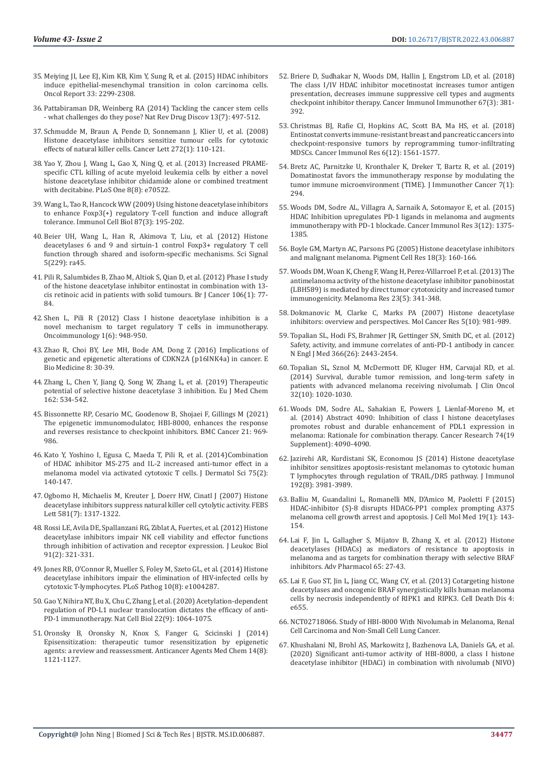- 35. [Meiying JI, Lee EJ, Kim KB, Kim Y, Sung R, et al. \(2015\) HDAC inhibitors](https://pubmed.ncbi.nlm.nih.gov/25813246/)  [induce epithelial-mesenchymal transition in colon carcinoma cells.](https://pubmed.ncbi.nlm.nih.gov/25813246/)  [Oncol Report 33: 2299-2308.](https://pubmed.ncbi.nlm.nih.gov/25813246/)
- 36. [Pattabiraman DR, Weinberg RA \(2014\) Tackling the cancer stem cells](https://pubmed.ncbi.nlm.nih.gov/24981363/)  [- what challenges do they pose? Nat Rev Drug Discov 13\(7\): 497-512.](https://pubmed.ncbi.nlm.nih.gov/24981363/)
- 37. [Schmudde M, Braun A, Pende D, Sonnemann J, Klier U, et al. \(2008\)](https://pubmed.ncbi.nlm.nih.gov/18718708/)  [Histone deacetylase inhibitors sensitize tumour cells for cytotoxic](https://pubmed.ncbi.nlm.nih.gov/18718708/)  [effects of natural killer cells. Cancer Lett 272\(1\): 110-121.](https://pubmed.ncbi.nlm.nih.gov/18718708/)
- 38. [Yao Y, Zhou J, Wang L, Gao X, Ning Q, et al. \(2013\) Increased PRAME](https://pubmed.ncbi.nlm.nih.gov/23940586/)[specific CTL killing of acute myeloid leukemia cells by either a novel](https://pubmed.ncbi.nlm.nih.gov/23940586/)  [histone deacetylase inhibitor chidamide alone or combined treatment](https://pubmed.ncbi.nlm.nih.gov/23940586/)  [with decitabine. PLoS One 8\(8\): e70522.](https://pubmed.ncbi.nlm.nih.gov/23940586/)
- 39. [Wang L, Tao R, Hancock WW \(2009\) Using histone deacetylase inhibitors](https://pubmed.ncbi.nlm.nih.gov/19172156/)  [to enhance Foxp3\(+\) regulatory T-cell function and induce allograft](https://pubmed.ncbi.nlm.nih.gov/19172156/)  [tolerance. Immunol Cell Biol 87\(3\): 195-202.](https://pubmed.ncbi.nlm.nih.gov/19172156/)
- 40. [Beier UH, Wang L, Han R, Akimova T, Liu, et al. \(2012\) Histone](https://pubmed.ncbi.nlm.nih.gov/22715468/)  [deacetylases 6 and 9 and sirtuin-1 control Foxp3+ regulatory T cell](https://pubmed.ncbi.nlm.nih.gov/22715468/)  [function through shared and isoform-specific mechanisms. Sci Signal](https://pubmed.ncbi.nlm.nih.gov/22715468/)  [5\(229\): ra45.](https://pubmed.ncbi.nlm.nih.gov/22715468/)
- 41. [Pili R, Salumbides B, Zhao M, Altiok S, Qian D, et al. \(2012\) Phase I study](https://pubmed.ncbi.nlm.nih.gov/22134508/)  [of the histone deacetylase inhibitor entinostat in combination with 13](https://pubmed.ncbi.nlm.nih.gov/22134508/) [cis retinoic acid in patients with solid tumours. Br J Cancer 106\(1\): 77-](https://pubmed.ncbi.nlm.nih.gov/22134508/) [84.](https://pubmed.ncbi.nlm.nih.gov/22134508/)
- 42. [Shen L, Pili R \(2012\) Class I histone deacetylase inhibition is a](https://www.ncbi.nlm.nih.gov/pmc/articles/PMC3489755/)  [novel mechanism to target regulatory T cells in immunotherapy.](https://www.ncbi.nlm.nih.gov/pmc/articles/PMC3489755/)  [Oncoimmunology 1\(6\): 948-950.](https://www.ncbi.nlm.nih.gov/pmc/articles/PMC3489755/)
- 43. [Zhao R, Choi BY, Lee MH, Bode AM, Dong Z \(2016\) Implications of](https://pubmed.ncbi.nlm.nih.gov/27428416/)  [genetic and epigenetic alterations of CDKN2A \(p16INK4a\) in cancer. E](https://pubmed.ncbi.nlm.nih.gov/27428416/)  [Bio Medicine 8: 30-39.](https://pubmed.ncbi.nlm.nih.gov/27428416/)
- 44. [Zhang L, Chen Y, Jiang Q, Song W, Zhang L, et al. \(2019\) Therapeutic](https://www.sciencedirect.com/science/article/abs/pii/S0223523418309176)  [potential of selective histone deacetylase 3 inhibition. Eu J Med Chem](https://www.sciencedirect.com/science/article/abs/pii/S0223523418309176)  [162: 534-542.](https://www.sciencedirect.com/science/article/abs/pii/S0223523418309176)
- 45. [Bissonnette RP, Cesario MC, Goodenow B, Shojaei F, Gillings M \(2021\)](https://bmccancer.biomedcentral.com/articles/10.1186/s12885-021-08702-x)  [The epigenetic immunomodulator, HBI-8000, enhances the response](https://bmccancer.biomedcentral.com/articles/10.1186/s12885-021-08702-x)  [and reverses resistance to checkpoint inhibitors. BMC Cancer 21: 969-](https://bmccancer.biomedcentral.com/articles/10.1186/s12885-021-08702-x) [986.](https://bmccancer.biomedcentral.com/articles/10.1186/s12885-021-08702-x)
- 46. [Kato Y, Yoshino I, Egusa C, Maeda T, Pili R, et al. \(2014\)Combination](https://pubmed.ncbi.nlm.nih.gov/24866536/)  [of HDAC inhibitor MS-275 and IL-2 increased anti-tumor effect in a](https://pubmed.ncbi.nlm.nih.gov/24866536/)  [melanoma model via activated cytotoxic T cells. J Dermatol Sci 75\(2\):](https://pubmed.ncbi.nlm.nih.gov/24866536/)  [140-147.](https://pubmed.ncbi.nlm.nih.gov/24866536/)
- 47. [Ogbomo H, Michaelis M, Kreuter J, Doerr HW, Cinatl J \(2007\) Histone](https://pubmed.ncbi.nlm.nih.gov/17349632/)  [deacetylase inhibitors suppress natural killer cell cytolytic activity. FEBS](https://pubmed.ncbi.nlm.nih.gov/17349632/)  [Lett 581\(7\): 1317-1322.](https://pubmed.ncbi.nlm.nih.gov/17349632/)
- 48. [Rossi LE, Avila DE, Spallanzani RG, Ziblat A, Fuertes, et al. \(2012\) Histone](https://pubmed.ncbi.nlm.nih.gov/22124136/)  [deacetylase inhibitors impair NK cell viability and effector functions](https://pubmed.ncbi.nlm.nih.gov/22124136/)  [through inhibition of activation and receptor expression. J Leukoc Biol](https://pubmed.ncbi.nlm.nih.gov/22124136/)  [91\(2\): 321-331.](https://pubmed.ncbi.nlm.nih.gov/22124136/)
- 49. [Jones RB, O'Connor R, Mueller S, Foley M, Szeto GL, et al. \(2014\) Histone](https://journals.plos.org/plospathogens/article?id=10.1371/journal.ppat.1004287)  [deacetylase inhibitors impair the elimination of HIV-infected cells by](https://journals.plos.org/plospathogens/article?id=10.1371/journal.ppat.1004287)  [cytotoxic T-lymphocytes. PLoS Pathog 10\(8\): e1004287.](https://journals.plos.org/plospathogens/article?id=10.1371/journal.ppat.1004287)
- 50. [Gao Y, Nihira NT, Bu X, Chu C, Zhang J, et al. \(2020\) Acetylation-dependent](https://www.nature.com/articles/s41556-020-0562-4)  [regulation of PD-L1 nuclear translocation dictates the efficacy of anti-](https://www.nature.com/articles/s41556-020-0562-4)[PD-1 immunotherapy. Nat Cell Biol 22\(9\): 1064-1075.](https://www.nature.com/articles/s41556-020-0562-4)
- 51. [Oronsky B, Oronsky N, Knox S, Fanger G, Scicinski J \(2014\)](https://www.ncbi.nlm.nih.gov/pmc/articles/PMC4262965/)  [Episensitization: therapeutic tumor resensitization by epigenetic](https://www.ncbi.nlm.nih.gov/pmc/articles/PMC4262965/)  [agents: a review and reassessment. Anticancer Agents Med Chem 14\(8\):](https://www.ncbi.nlm.nih.gov/pmc/articles/PMC4262965/)  [1121-1127.](https://www.ncbi.nlm.nih.gov/pmc/articles/PMC4262965/)
- 52. [Briere D, Sudhakar N, Woods DM, Hallin J, Engstrom LD, et al. \(2018\)](https://pubmed.ncbi.nlm.nih.gov/29124315/) [The class I/IV HDAC inhibitor mocetinostat increases tumor antigen](https://pubmed.ncbi.nlm.nih.gov/29124315/) [presentation, decreases immune suppressive cell types and augments](https://pubmed.ncbi.nlm.nih.gov/29124315/) [checkpoint inhibitor therapy. Cancer Immunol Immunother 67\(3\): 381-](https://pubmed.ncbi.nlm.nih.gov/29124315/) [392.](https://pubmed.ncbi.nlm.nih.gov/29124315/)
- 53. [Christmas BJ, Rafie CI, Hopkins AC, Scott BA, Ma HS, et al. \(2018\)](https://pubmed.ncbi.nlm.nih.gov/30341213/) [Entinostat converts immune-resistant breast and pancreatic cancers into](https://pubmed.ncbi.nlm.nih.gov/30341213/) [checkpoint-responsive tumors by reprogramming tumor-infiltrating](https://pubmed.ncbi.nlm.nih.gov/30341213/) [MDSCs. Cancer Immunol Res 6\(12\): 1561-1577.](https://pubmed.ncbi.nlm.nih.gov/30341213/)
- 54. [Bretz AC, Parnitzke U, Kronthaler K, Dreker T, Bartz R, et al. \(2019\)](https://pubmed.ncbi.nlm.nih.gov/31703604/) [Domatinostat favors the immunotherapy response by modulating the](https://pubmed.ncbi.nlm.nih.gov/31703604/) [tumor immune microenvironment \(TIME\). J Immunother Cancer 7\(1\):](https://pubmed.ncbi.nlm.nih.gov/31703604/) [294.](https://pubmed.ncbi.nlm.nih.gov/31703604/)
- 55. [Woods DM, Sodre AL, Villagra A, Sarnaik A, Sotomayor E, et al. \(2015\)](https://pubmed.ncbi.nlm.nih.gov/26297712/) [HDAC Inhibition upregulates PD-1 ligands in melanoma and augments](https://pubmed.ncbi.nlm.nih.gov/26297712/) [immunotherapy with PD-1 blockade. Cancer Immunol Res 3\(12\): 1375-](https://pubmed.ncbi.nlm.nih.gov/26297712/) [1385.](https://pubmed.ncbi.nlm.nih.gov/26297712/)
- 56. [Boyle GM, Martyn AC, Parsons PG \(2005\) Histone deacetylase inhibitors](https://onlinelibrary.wiley.com/doi/full/10.1111/j.1600-0749.2005.00228.x) [and malignant melanoma. Pigment Cell Res 18\(3\): 160-166.](https://onlinelibrary.wiley.com/doi/full/10.1111/j.1600-0749.2005.00228.x)
- 57. [Woods DM, Woan K, Cheng F, Wang H, Perez-Villarroel P, et al. \(2013\) The](https://pubmed.ncbi.nlm.nih.gov/23963286/) [antimelanoma activity of the histone deacetylase inhibitor panobinostat](https://pubmed.ncbi.nlm.nih.gov/23963286/) [\(LBH589\) is mediated by direct tumor cytotoxicity and increased tumor](https://pubmed.ncbi.nlm.nih.gov/23963286/) [immunogenicity. Melanoma Res 23\(5\): 341-348.](https://pubmed.ncbi.nlm.nih.gov/23963286/)
- 58. [Dokmanovic M, Clarke C, Marks PA \(2007\) Histone deacetylase](https://pubmed.ncbi.nlm.nih.gov/17951399/) [inhibitors: overview and perspectives. Mol Cancer Res 5\(10\): 981-989.](https://pubmed.ncbi.nlm.nih.gov/17951399/)
- 59. [Topalian SL, Hodi FS, Brahmer JR, Gettinger SN, Smith DC, et al. \(2012\)](https://www.nejm.org/doi/full/10.1056/nejmoa1200690) [Safety, activity, and immune correlates of anti-PD-1 antibody in cancer.](https://www.nejm.org/doi/full/10.1056/nejmoa1200690) [N Engl J Med 366\(26\): 2443-2454.](https://www.nejm.org/doi/full/10.1056/nejmoa1200690)
- 60. [Topalian SL, Sznol M, McDermott DF, Kluger HM, Carvajal RD, et al.](https://pubmed.ncbi.nlm.nih.gov/24590637/) [\(2014\) Survival, durable tumor remission, and long-term safety in](https://pubmed.ncbi.nlm.nih.gov/24590637/) [patients with advanced melanoma receiving nivolumab. J Clin Oncol](https://pubmed.ncbi.nlm.nih.gov/24590637/) [32\(10\): 1020-1030.](https://pubmed.ncbi.nlm.nih.gov/24590637/)
- 61. [Woods DM, Sodre AL, Sahakian E, Powers J, Lienlaf-Moreno M, et](https://aacrjournals.org/cancerres/article/74/19_Supplement/4090/596097/Abstract-4090-Inhibition-of-class-I-histone) [al. \(2014\) Abstract 4090: Inhibition of class I histone deacetylases](https://aacrjournals.org/cancerres/article/74/19_Supplement/4090/596097/Abstract-4090-Inhibition-of-class-I-histone) [promotes robust and durable enhancement of PDL1 expression in](https://aacrjournals.org/cancerres/article/74/19_Supplement/4090/596097/Abstract-4090-Inhibition-of-class-I-histone) [melanoma: Rationale for combination therapy. Cancer Research 74\(19](https://aacrjournals.org/cancerres/article/74/19_Supplement/4090/596097/Abstract-4090-Inhibition-of-class-I-histone) [Supplement\): 4090-4090.](https://aacrjournals.org/cancerres/article/74/19_Supplement/4090/596097/Abstract-4090-Inhibition-of-class-I-histone)
- 62. [Jazirehi AR, Kurdistani SK, Economou JS \(2014\) Histone deacetylase](https://pubmed.ncbi.nlm.nih.gov/24639349/) [inhibitor sensitizes apoptosis-resistant melanomas to cytotoxic human](https://pubmed.ncbi.nlm.nih.gov/24639349/) [T lymphocytes through regulation of TRAIL/DR5 pathway. J Immunol](https://pubmed.ncbi.nlm.nih.gov/24639349/) [192\(8\): 3981-3989.](https://pubmed.ncbi.nlm.nih.gov/24639349/)
- 63. [Balliu M, Guandalini L, Romanelli MN, D'Amico M, Paoletti F \(2015\)](https://pubmed.ncbi.nlm.nih.gov/25376115/) [HDAC-inhibitor \(S\)-8 disrupts HDAC6-PP1 complex prompting A375](https://pubmed.ncbi.nlm.nih.gov/25376115/) [melanoma cell growth arrest and apoptosis. J Cell Mol Med 19\(1\): 143-](https://pubmed.ncbi.nlm.nih.gov/25376115/) [154.](https://pubmed.ncbi.nlm.nih.gov/25376115/)
- 64. [Lai F, Jin L, Gallagher S, Mijatov B, Zhang X, et al. \(2012\) Histone](https://pubmed.ncbi.nlm.nih.gov/22959022/) [deacetylases \(HDACs\) as mediators of resistance to apoptosis in](https://pubmed.ncbi.nlm.nih.gov/22959022/) [melanoma and as targets for combination therapy with selective BRAF](https://pubmed.ncbi.nlm.nih.gov/22959022/) [inhibitors. Adv Pharmacol 65: 27-43.](https://pubmed.ncbi.nlm.nih.gov/22959022/)
- 65. [Lai F, Guo ST, Jin L, Jiang CC, Wang CY, et al. \(2013\) Cotargeting histone](https://pubmed.ncbi.nlm.nih.gov/23744355/) [deacetylases and oncogenic BRAF synergistically kills human melanoma](https://pubmed.ncbi.nlm.nih.gov/23744355/) [cells by necrosis independently of RIPK1 and RIPK3. Cell Death Dis 4:](https://pubmed.ncbi.nlm.nih.gov/23744355/) [e655.](https://pubmed.ncbi.nlm.nih.gov/23744355/)
- 66. [NCT02718066. Study of HBI-8000 With Nivolumab in Melanoma, Renal](https://clinicaltrials.gov/ct2/show/NCT02718066) [Cell Carcinoma and Non-Small Cell Lung Cancer.](https://clinicaltrials.gov/ct2/show/NCT02718066)
- 67. Khushalani NI, Brohl AS, Markowitz J, Bazhenova LA, Daniels GA, et al. (2020) Significant anti-tumor activity of HBI-8000, a class I histone deacetylase inhibitor (HDACi) in combination with nivolumab (NIVO)